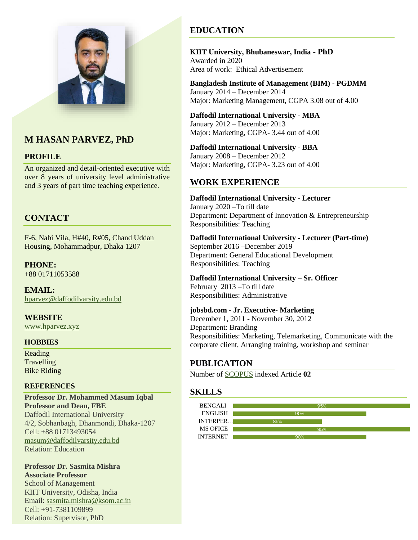

# **M HASAN PARVEZ, PhD**

#### **PROFILE**

An organized and detail-oriented executive with over 8 years of university level administrative and 3 years of part time teaching experience.

## **CONTACT**

F-6, Nabi Vila, H#40, R#05, Chand Uddan Housing, Mohammadpur, Dhaka 1207

**PHONE:** +88 01711053588

**EMAIL:** [hparvez@daffodilvarsity.edu.bd](mailto:hparvez@daffodilvarsity.edu.bd)

**WEBSITE** [www.hparvez.xyz](http://www.hparvez.xyz/)

#### **HOBBIES**

Reading **Travelling** Bike Riding

#### **REFERENCES**

**Professor Dr. Mohammed Masum Iqbal Professor and Dean, FBE** Daffodil International University 4/2, Sobhanbagh, Dhanmondi, Dhaka-1207 Cell: +88 01713493054 [masum@daffodilvarsity.edu.bd](mailto:masum@daffodilvarsity.edu.bd) Relation: Education

#### **Professor Dr. Sasmita Mishra Associate Professor**

School of Management KIIT University, Odisha, India Email: [sasmita.mishra@ksom.ac.in](mailto:sasmita.mishra@ksom.ac.in) Cell: +91-7381109899 Relation: Supervisor, PhD

# **EDUCATION**

**KIIT University, Bhubaneswar, India - PhD** Awarded in 2020 Area of work: Ethical Advertisement

**Bangladesh Institute of Management (BIM) - PGDMM** January 2014 – December 2014 Major: Marketing Management, CGPA 3.08 out of 4.00

**Daffodil International University - MBA** January 2012 – December 2013 Major: Marketing, CGPA- 3.44 out of 4.00

**Daffodil International University - BBA** January 2008 – December 2012 Major: Marketing, CGPA- 3.23 out of 4.00

#### **WORK EXPERIENCE**

**Daffodil International University - Lecturer** January 2020 –To till date Department: Department of Innovation & Entrepreneurship Responsibilities: Teaching

**Daffodil International University - Lecturer (Part-time)** September 2016 –December 2019 Department: General Educational Development Responsibilities: Teaching

**Daffodil International University – Sr. Officer** February 2013 –To till date Responsibilities: Administrative

**jobsbd.com - Jr. Executive- Marketing**

December 1, 2011 - November 30, 2012 Department: Branding Responsibilities: Marketing, Telemarketing, Communicate with the corporate client, Arranging training, workshop and seminar

### **PUBLICATION**

Number of [SCOPUS](https://www.scopus.com/authid/detail.uri?authorId=57203786082) indexed Article **02**

### **SKILLS**

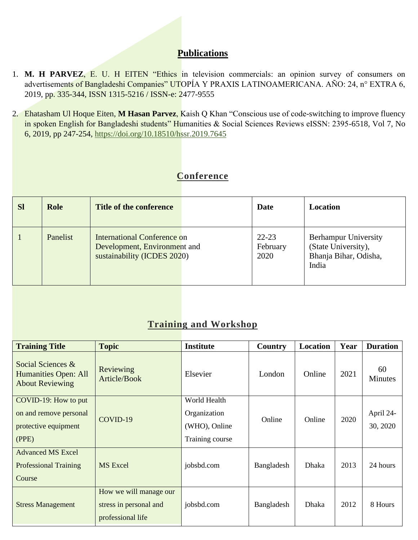## **Publications**

- 1. **M. H PARVEZ**, E. U. H EITEN "Ethics in television commercials: an opinion survey of consumers on advertisements of Bangladeshi Companies" UTOPÍA Y PRAXIS LATINOAMERICANA. AÑO: 24, n° EXTRA 6, 2019, pp. 335-344, ISSN 1315-5216 / ISSN-e: 2477-9555
- 2. Ehatasham Ul Hoque Eiten, **M Hasan Parvez**, Kaish Q Khan "Conscious use of code-switching to improve fluency in spoken English for Bangladeshi students" Humanities & Social Sciences Reviews eISSN: 2395-6518, Vol 7, No 6, 2019, pp 247-254,<https://doi.org/10.18510/hssr.2019.7645>

# **Conference**

| <b>Sl</b> | <b>Role</b> | Title of the conference                                                                    | Date                          | Location                                                                             |
|-----------|-------------|--------------------------------------------------------------------------------------------|-------------------------------|--------------------------------------------------------------------------------------|
|           | Panelist    | International Conference on<br>Development, Environment and<br>sustainability (ICDES 2020) | $22 - 23$<br>February<br>2020 | <b>Berhampur University</b><br>(State University),<br>Bhanja Bihar, Odisha,<br>India |

# **Training and Workshop**

| <b>Training Title</b>                                                           | <b>Topic</b>                                                          | <b>Institute</b>                                                 | Country    | Location | Year | <b>Duration</b>       |
|---------------------------------------------------------------------------------|-----------------------------------------------------------------------|------------------------------------------------------------------|------------|----------|------|-----------------------|
| Social Sciences &<br>Humanities Open: All<br><b>About Reviewing</b>             | Reviewing<br>Article/Book                                             | Elsevier                                                         | London     | Online   | 2021 | 60<br><b>Minutes</b>  |
| COVID-19: How to put<br>on and remove personal<br>protective equipment<br>(PPE) | COVID-19                                                              | World Health<br>Organization<br>(WHO), Online<br>Training course | Online     | Online   | 2020 | April 24-<br>30, 2020 |
| <b>Advanced MS Excel</b><br><b>Professional Training</b><br>Course              | <b>MS</b> Excel                                                       | jobsbd.com                                                       | Bangladesh | Dhaka    | 2013 | 24 hours              |
| <b>Stress Management</b>                                                        | How we will manage our<br>stress in personal and<br>professional life | jobsbd.com                                                       | Bangladesh | Dhaka    | 2012 | 8 Hours               |